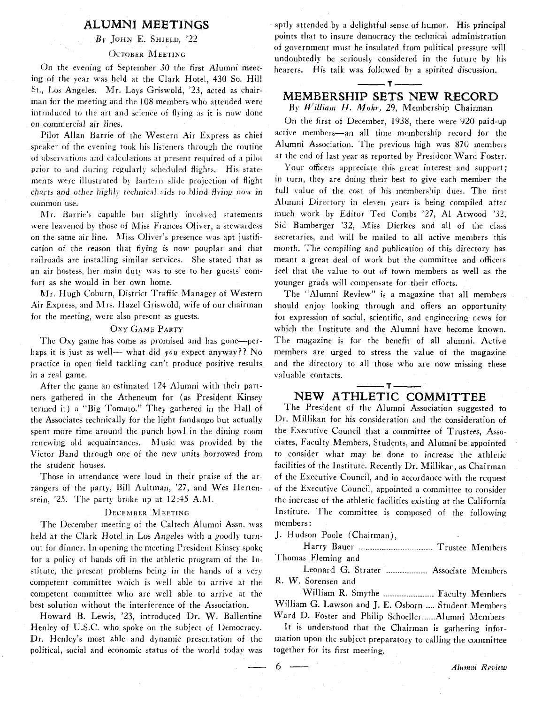## **ALUMNI MEETINGS**

 $By$  JOHN E. SHIELD,  $22$ 

### Остовек Меетінс

On the evening of September 30 the first Alumni meeting of the year was held at the Clark Hotel, 430 So. Hill St., Los Angeles. Mr. Loys Griswold, '23, acted as chairman for the meeting and the 108 members who attended were introduced to the art and science of flying as it is now done on commercial air lines.

Pilot Allan Barrie of the Western Air Express as chief speaker of the evening took his listeners through the routine of observations and calculations at present required of a pilot *prior* to and during regularly scheduled flights. His statements were illustrated by lantern slide projection of flight charts and other highly technical aids to blind flying now in common use.

Mr. Barrie's capable but slightly involved statements were leavened by those of Miss Frances Oliver, a stewardess on the same air line. Miss Oliver's presence was apt justification of the reason that flying is now pouplar and that railroads are installing similar services. She stated that as an air hostess, her main duty was to see to her guests' comfort as she would in her own home.

Mr. Hugh Coburn, District Traffic Manager of Western Air Express, and Mrs. Hazel Griswold, wife of our chairman for the meeting, were also present as guests.

### **OXY GAME PARTY**

The Oxy game has come as promised and has gone-perhaps it is just as well— what did you expect anyway?? No practice in open field tackling can't produce positive results in a real game.

After the game an estimated 124 Alumni with their partners gathered in the Atheneum for (as President Kinsey termed it) a "Big Tomato." They gathered in the Hall of the Associates technically for the light fandango but actually spent more time around the punch bowl in the dining room renewing old acquaintances. Music was provided by the Victor Band through one of the new units borrowed from the student houses.

Those in attendance were loud in their praise of the arrangers of the party, Bill Aultman, '27, and Wes Hertenstein,  $25.$  The party broke up at  $12:45$  A.M.

### DECEMBER MEETING

The December meeting of the Caltech Alumni Assn. was held at the Clark Hotel in Los Angeles with a goodly turnout for dinner. In opening the meeting President Kinsey spoke for a policy of hands off in the athletic program of the Institute, the present problems being in the hands of a very competent committee which is well able to arrive at the competent committee who are well able to arrive at the best solution without the interference of the Association.

Howard B. Lewis, '23, introduced Dr. W. Ballentine Henley of U.S.C. who spoke on the subject of Democracy. Dr. Henley's most able and dynamic presentation of the political, social and economic status of the world today was aptly attended by a delightful sense of humor. His principal points that to insure democracy the technical administration of government must be insulated from political pressure will undoubtedly be seriously considered in the future by his hearers. His talk was followed by a spirited discussion.

# $-1$  – – **MEMBERSHIP SETS NEW RECORD**

**-1-** 

**By** *William* H. *Mohr,* 29, Membership Chairman

Un the first ot December, 1938, there were 920 paid-up active members-an all time membership record for the Alumni Association. The previous high was 870 members at the end of last year as reported by President Ward Foster.

Your officers appreciate this great interest and support; in turn, they are doing their best to give each member the full value of the cost of his membership dues. The first Alumni Directory in eleven years is being compiled after much work by Editor Ted Combs '27, A1 Atwood *'32,*  Sid Bamberger '32, Miss Dierkes and all of the class secretaries, and will be mailed to all active members this month. The compiling and publication of this directory has meant a great deal of work but the committee and officers feel that the value to out of town members as well as the younger grads will compensate for their efforts.

The "Alumni Review" is a magazine that all members should enjoy looking through and offers an opportunity for expression of social, scientific, and engineering news for which the Institute and the Alumni have become known. The magazine is for the benefit of all alumni. Active members are urged to stress the value of the magazine and the directory to all those who are now missing these valuable contacts.

**-1-**  – T – **NEW ATHLETIC COMMITTEE** 

The President of the Alumni Association suggested to Dr. Millikan for his consideration and the consideration of the Executive Council that a committee of Trustees, Associates, Faculty Members, Students, and Alumni be appointed to consider what may be done to increase the athletic facilities of the Institute. Recently Dr. Millikan, as Chairman of the Executive Council, and in accordance with the request of the Executive Council, appointed a committee to consider the increase of the athletic facilities existing at the California Institute. The committee is composed of the following members :

J. Hudson Poole (Chairman),

Harry Bauer . ... .. ... . . ...-. Trustee Members **r** . I homas Fleming and

Leonard G. Strater ................... Associate Members R. W. Sorensen and

William R. Smythe ....................... Faculty Members William G. Lawson and J. E. Osborn .... Student Members Ward D. Foster and Philip Schoeller......Alumni Members

It is understood that the Chairman is gathering information upon the subject preparatory to calling the committee together for its first meeting. Figure 1. Foster and Philip Schoeller......Alumni Members<br>
It is understood that the Chairman is gathering infor-<br>
mation upon the subject preparatory to calling the committee<br>
ogether for its first meeting.<br>
6